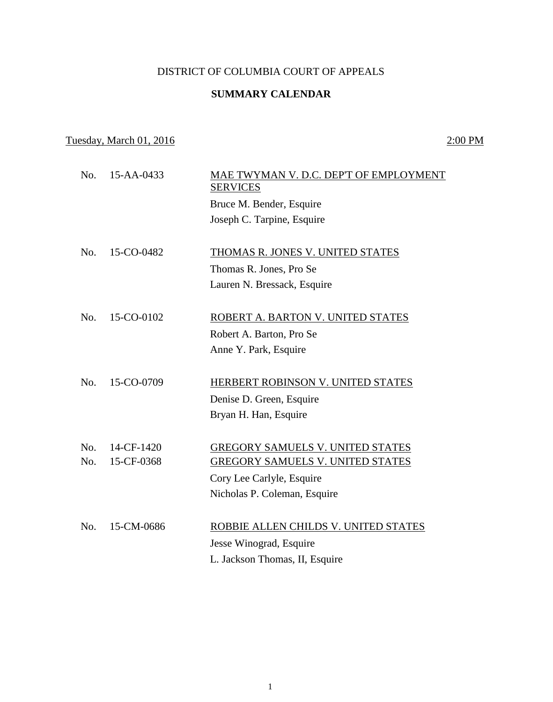### DISTRICT OF COLUMBIA COURT OF APPEALS

## **SUMMARY CALENDAR**

# Tuesday, March 01, 2016 2:00 PM

| No. | 15-AA-0433 | MAE TWYMAN V. D.C. DEP'T OF EMPLOYMENT<br><b>SERVICES</b><br>Bruce M. Bender, Esquire |
|-----|------------|---------------------------------------------------------------------------------------|
|     |            | Joseph C. Tarpine, Esquire                                                            |
| No. | 15-CO-0482 | THOMAS R. JONES V. UNITED STATES                                                      |
|     |            | Thomas R. Jones, Pro Se                                                               |
|     |            | Lauren N. Bressack, Esquire                                                           |
| No. | 15-CO-0102 | ROBERT A. BARTON V. UNITED STATES                                                     |
|     |            | Robert A. Barton, Pro Se                                                              |
|     |            | Anne Y. Park, Esquire                                                                 |
| No. | 15-CO-0709 | HERBERT ROBINSON V. UNITED STATES                                                     |
|     |            | Denise D. Green, Esquire                                                              |
|     |            | Bryan H. Han, Esquire                                                                 |
| No. | 14-CF-1420 | GREGORY SAMUELS V. UNITED STATES                                                      |
| No. | 15-CF-0368 | <b>GREGORY SAMUELS V. UNITED STATES</b>                                               |
|     |            | Cory Lee Carlyle, Esquire                                                             |
|     |            | Nicholas P. Coleman, Esquire                                                          |
| No. | 15-CM-0686 | ROBBIE ALLEN CHILDS V. UNITED STATES                                                  |
|     |            | Jesse Winograd, Esquire                                                               |
|     |            | L. Jackson Thomas, II, Esquire                                                        |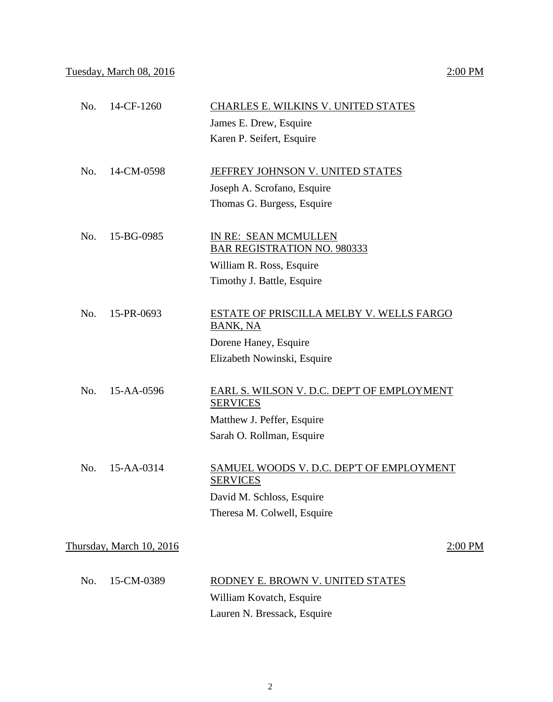# No. 14-CF-1260 CHARLES E. WILKINS V. UNITED STATES James E. Drew, Esquire Karen P. Seifert, Esquire No. 14-CM-0598 JEFFREY JOHNSON V. UNITED STATES Joseph A. Scrofano, Esquire Thomas G. Burgess, Esquire No. 15-BG-0985 IN RE: SEAN MCMULLEN BAR REGISTRATION NO. 980333 William R. Ross, Esquire Timothy J. Battle, Esquire No. 15-PR-0693 ESTATE OF PRISCILLA MELBY V. WELLS FARGO BANK, NA Dorene Haney, Esquire Elizabeth Nowinski, Esquire

 No. 15-AA-0596 EARL S. WILSON V. D.C. DEP'T OF EMPLOYMENT **SERVICES** Matthew J. Peffer, Esquire Sarah O. Rollman, Esquire

| No. 15-AA-0314 | SAMUEL WOODS V. D.C. DEP'T OF EMPLOYMENT<br><b>SERVICES</b> |
|----------------|-------------------------------------------------------------|
|                | David M. Schloss, Esquire                                   |
|                | Theresa M. Colwell, Esquire                                 |

Thursday, March 10, 2016 2:00 PM

| No. 15-CM-0389 | RODNEY E. BROWN V. UNITED STATES |
|----------------|----------------------------------|
|                | William Kovatch, Esquire         |
|                | Lauren N. Bressack, Esquire      |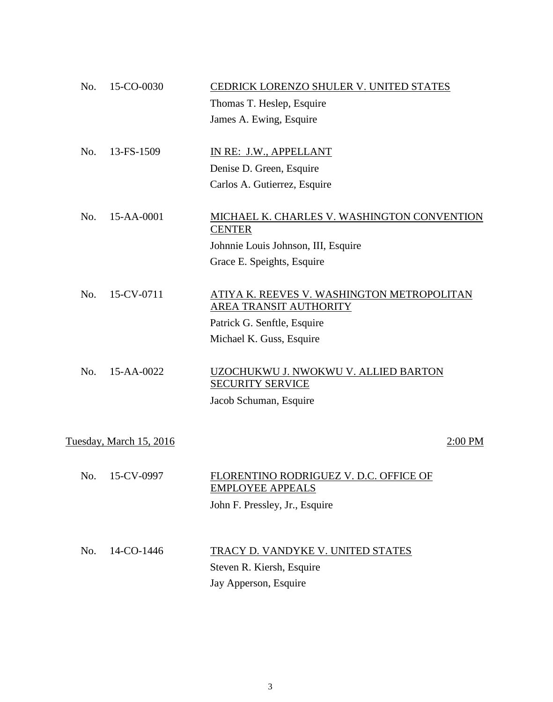| No.                                | 15-CO-0030 | CEDRICK LORENZO SHULER V. UNITED STATES                                                   |  |  |
|------------------------------------|------------|-------------------------------------------------------------------------------------------|--|--|
|                                    |            | Thomas T. Heslep, Esquire                                                                 |  |  |
|                                    |            | James A. Ewing, Esquire                                                                   |  |  |
|                                    |            |                                                                                           |  |  |
| No.                                | 13-FS-1509 | IN RE: J.W., APPELLANT                                                                    |  |  |
|                                    |            | Denise D. Green, Esquire                                                                  |  |  |
|                                    |            | Carlos A. Gutierrez, Esquire                                                              |  |  |
| No.                                | 15-AA-0001 | MICHAEL K. CHARLES V. WASHINGTON CONVENTION<br><b>CENTER</b>                              |  |  |
|                                    |            | Johnnie Louis Johnson, III, Esquire                                                       |  |  |
|                                    |            | Grace E. Speights, Esquire                                                                |  |  |
|                                    |            |                                                                                           |  |  |
| No.                                | 15-CV-0711 | ATIYA K. REEVES V. WASHINGTON METROPOLITAN<br>AREA TRANSIT AUTHORITY                      |  |  |
|                                    |            | Patrick G. Senftle, Esquire                                                               |  |  |
|                                    |            | Michael K. Guss, Esquire                                                                  |  |  |
| No.                                | 15-AA-0022 | UZOCHUKWU J. NWOKWU V. ALLIED BARTON<br><b>SECURITY SERVICE</b><br>Jacob Schuman, Esquire |  |  |
| Tuesday, March 15, 2016<br>2:00 PM |            |                                                                                           |  |  |
| No.                                | 15-CV-0997 | FLORENTINO RODRIGUEZ V. D.C. OFFICE OF<br><b>EMPLOYEE APPEALS</b>                         |  |  |
|                                    |            | John F. Pressley, Jr., Esquire                                                            |  |  |
| No.                                | 14-CO-1446 | TRACY D. VANDYKE V. UNITED STATES                                                         |  |  |
|                                    |            | Steven R. Kiersh, Esquire                                                                 |  |  |
|                                    |            | Jay Apperson, Esquire                                                                     |  |  |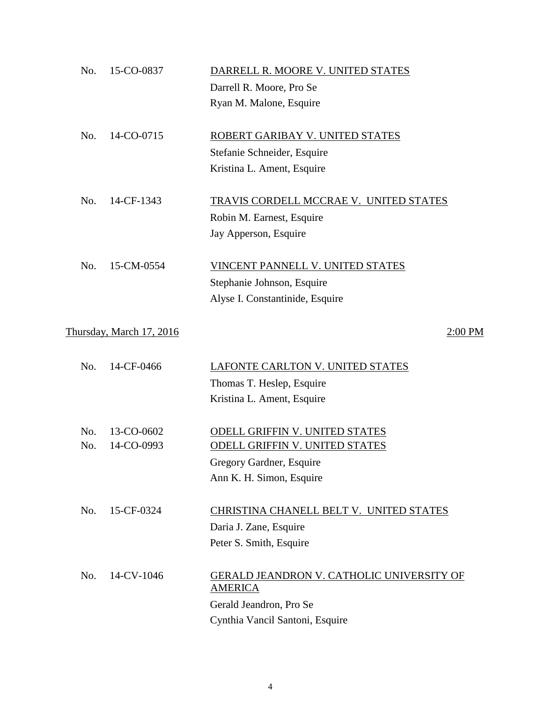| No. | 15-CO-0837               | DARRELL R. MOORE V. UNITED STATES                                  |
|-----|--------------------------|--------------------------------------------------------------------|
|     |                          | Darrell R. Moore, Pro Se                                           |
|     |                          | Ryan M. Malone, Esquire                                            |
| No. | 14-CO-0715               | ROBERT GARIBAY V. UNITED STATES                                    |
|     |                          | Stefanie Schneider, Esquire                                        |
|     |                          | Kristina L. Ament, Esquire                                         |
| No. | 14-CF-1343               | TRAVIS CORDELL MCCRAE V. UNITED STATES                             |
|     |                          | Robin M. Earnest, Esquire                                          |
|     |                          | Jay Apperson, Esquire                                              |
| No. | 15-CM-0554               | VINCENT PANNELL V. UNITED STATES                                   |
|     |                          | Stephanie Johnson, Esquire                                         |
|     |                          | Alyse I. Constantinide, Esquire                                    |
|     | Thursday, March 17, 2016 | $2:00$ PM                                                          |
| No. | 14-CF-0466               | LAFONTE CARLTON V. UNITED STATES                                   |
|     |                          | Thomas T. Heslep, Esquire                                          |
|     |                          | Kristina L. Ament, Esquire                                         |
| No. | 13-CO-0602               | <b>ODELL GRIFFIN V. UNITED STATES</b>                              |
| No. | 14-CO-0993               | <b>ODELL GRIFFIN V. UNITED STATES</b>                              |
|     |                          | Gregory Gardner, Esquire                                           |
|     |                          | Ann K. H. Simon, Esquire                                           |
| No. | 15-CF-0324               | CHRISTINA CHANELL BELT V. UNITED STATES                            |
|     |                          | Daria J. Zane, Esquire                                             |
|     |                          | Peter S. Smith, Esquire                                            |
| No. | 14-CV-1046               | <b>GERALD JEANDRON V. CATHOLIC UNIVERSITY OF</b><br><b>AMERICA</b> |
|     |                          | Gerald Jeandron, Pro Se                                            |
|     |                          | Cynthia Vancil Santoni, Esquire                                    |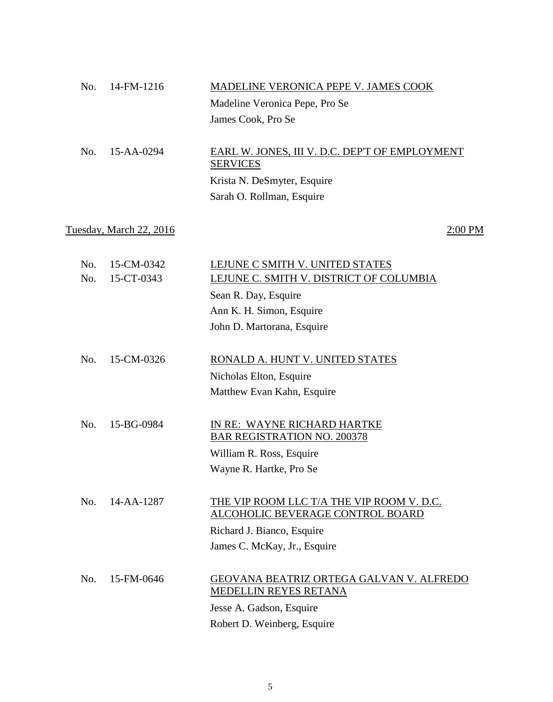|     | $No. 14$ -FM-1216 | MADELINE VERONICA PEPE V. JAMES COOK           |
|-----|-------------------|------------------------------------------------|
|     |                   | Madeline Veronica Pepe, Pro Se                 |
|     |                   | James Cook, Pro Se                             |
|     |                   |                                                |
| No. | $15 - AA - 0294$  | EARL W. JONES, III V. D.C. DEP'T OF EMPLOYMENT |

**SERVICES** Krista N. DeSmyter, Esquire Sarah O. Rollman, Esquire

# Tuesday, March 22, 2016 2:00 PM

| No.<br>No. | 15-CM-0342<br>15-CT-0343 | LEJUNE C SMITH V. UNITED STATES<br>LEJUNE C. SMITH V. DISTRICT OF COLUMBIA    |
|------------|--------------------------|-------------------------------------------------------------------------------|
|            |                          | Sean R. Day, Esquire                                                          |
|            |                          | Ann K. H. Simon, Esquire                                                      |
|            |                          | John D. Martorana, Esquire                                                    |
|            |                          |                                                                               |
| No.        | 15-CM-0326               | RONALD A. HUNT V. UNITED STATES                                               |
|            |                          | Nicholas Elton, Esquire                                                       |
|            |                          | Matthew Evan Kahn, Esquire                                                    |
|            |                          |                                                                               |
| No.        | 15-BG-0984               | IN RE: WAYNE RICHARD HARTKE<br><b>BAR REGISTRATION NO. 200378</b>             |
|            |                          | William R. Ross, Esquire                                                      |
|            |                          | Wayne R. Hartke, Pro Se                                                       |
|            |                          |                                                                               |
| No.        | 14-AA-1287               | THE VIP ROOM LLC T/A THE VIP ROOM V. D.C.<br>ALCOHOLIC BEVERAGE CONTROL BOARD |
|            |                          | Richard J. Bianco, Esquire                                                    |
|            |                          | James C. McKay, Jr., Esquire                                                  |
|            |                          |                                                                               |
| No.        | 15-FM-0646               | GEOVANA BEATRIZ ORTEGA GALVAN V. ALFREDO<br>MEDELLIN REYES RETANA             |
|            |                          | Jesse A. Gadson, Esquire                                                      |
|            |                          | Robert D. Weinberg, Esquire                                                   |
|            |                          |                                                                               |